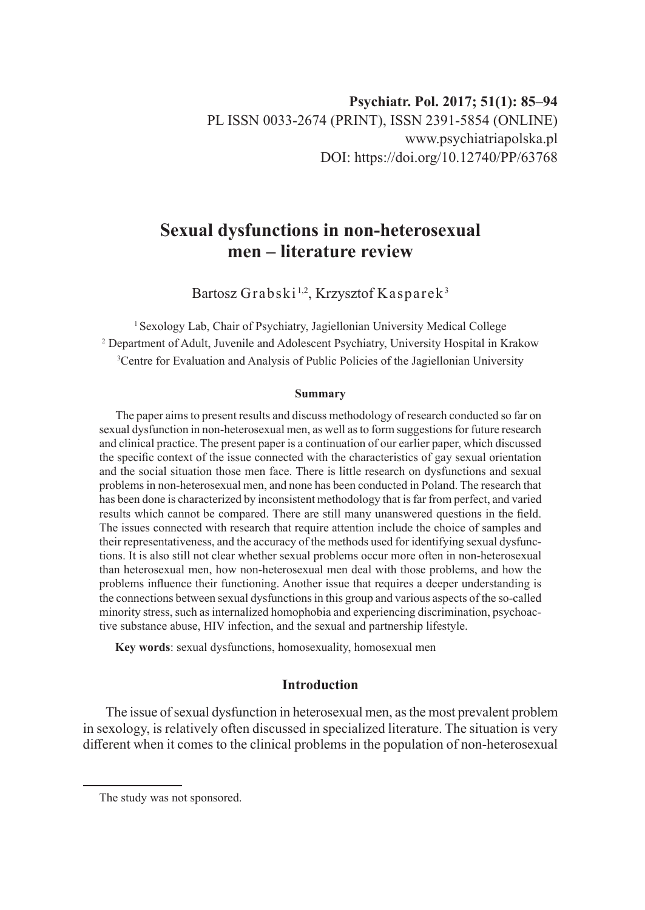# **Sexual dysfunctions in non-heterosexual men – literature review**

Bartosz Grabski<sup>1,2</sup>, Krzysztof Kasparek<sup>3</sup>

<sup>1</sup> Sexology Lab, Chair of Psychiatry, Jagiellonian University Medical College 2 Department of Adult, Juvenile and Adolescent Psychiatry, University Hospital in Krakow 3 Centre for Evaluation and Analysis of Public Policies of the Jagiellonian University

#### **Summary**

The paper aims to present results and discuss methodology of research conducted so far on sexual dysfunction in non-heterosexual men, as well as to form suggestions for future research and clinical practice. The present paper is a continuation of our earlier paper, which discussed the specific context of the issue connected with the characteristics of gay sexual orientation and the social situation those men face. There is little research on dysfunctions and sexual problems in non-heterosexual men, and none has been conducted in Poland. The research that has been done is characterized by inconsistent methodology that is far from perfect, and varied results which cannot be compared. There are still many unanswered questions in the field. The issues connected with research that require attention include the choice of samples and their representativeness, and the accuracy of the methods used for identifying sexual dysfunctions. It is also still not clear whether sexual problems occur more often in non-heterosexual than heterosexual men, how non-heterosexual men deal with those problems, and how the problems influence their functioning. Another issue that requires a deeper understanding is the connections between sexual dysfunctions in this group and various aspects of the so-called minority stress, such as internalized homophobia and experiencing discrimination, psychoactive substance abuse, HIV infection, and the sexual and partnership lifestyle.

**Key words**: sexual dysfunctions, homosexuality, homosexual men

# **Introduction**

The issue of sexual dysfunction in heterosexual men, as the most prevalent problem in sexology, is relatively often discussed in specialized literature. The situation is very different when it comes to the clinical problems in the population of non-heterosexual

The study was not sponsored.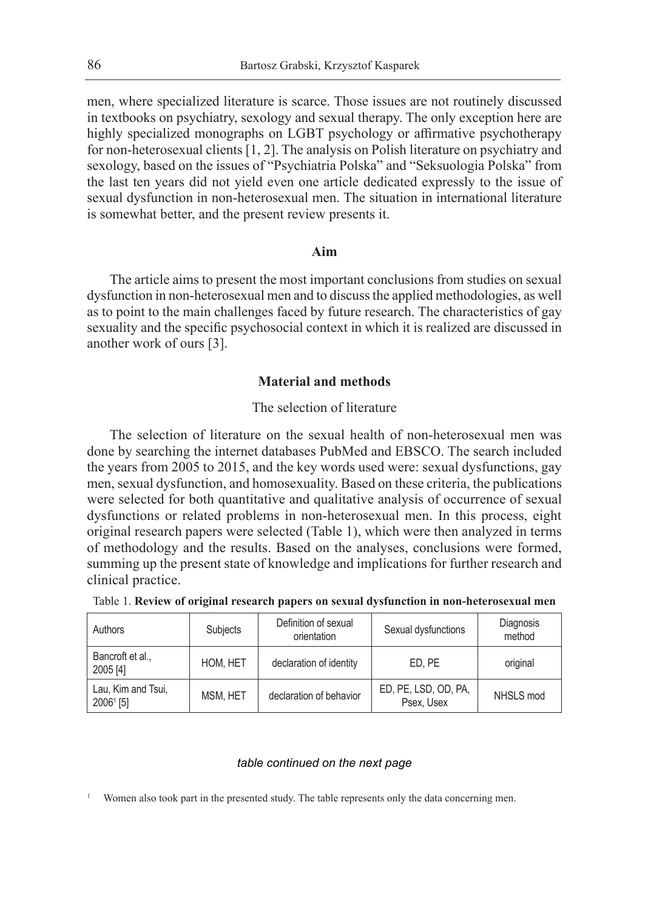men, where specialized literature is scarce. Those issues are not routinely discussed in textbooks on psychiatry, sexology and sexual therapy. The only exception here are highly specialized monographs on LGBT psychology or affirmative psychotherapy for non-heterosexual clients [1, 2]. The analysis on Polish literature on psychiatry and sexology, based on the issues of "Psychiatria Polska" and "Seksuologia Polska" from the last ten years did not yield even one article dedicated expressly to the issue of sexual dysfunction in non-heterosexual men. The situation in international literature is somewhat better, and the present review presents it.

### **Aim**

The article aims to present the most important conclusions from studies on sexual dysfunction in non-heterosexual men and to discuss the applied methodologies, as well as to point to the main challenges faced by future research. The characteristics of gay sexuality and the specific psychosocial context in which it is realized are discussed in another work of ours [3].

## **Material and methods**

# The selection of literature

The selection of literature on the sexual health of non-heterosexual men was done by searching the internet databases PubMed and EBSCO. The search included the years from 2005 to 2015, and the key words used were: sexual dysfunctions, gay men, sexual dysfunction, and homosexuality. Based on these criteria, the publications were selected for both quantitative and qualitative analysis of occurrence of sexual dysfunctions or related problems in non-heterosexual men. In this process, eight original research papers were selected (Table 1), which were then analyzed in terms of methodology and the results. Based on the analyses, conclusions were formed, summing up the present state of knowledge and implications for further research and clinical practice.

| Authors                         | Subjects | Definition of sexual<br>orientation | Sexual dysfunctions                | Diagnosis<br>method |
|---------------------------------|----------|-------------------------------------|------------------------------------|---------------------|
| Bancroft et al.,<br>2005 [4]    | HOM, HET | declaration of identity             | ED. PE                             | original            |
| Lau, Kim and Tsui,<br>20061 [5] | MSM, HET | declaration of behavior             | ED, PE, LSD, OD, PA,<br>Psex, Usex | NHSLS mod           |

|  |  |  | Table 1. Review of original research papers on sexual dysfunction in non-heterosexual men |  |  |  |  |  |
|--|--|--|-------------------------------------------------------------------------------------------|--|--|--|--|--|
|--|--|--|-------------------------------------------------------------------------------------------|--|--|--|--|--|

#### *table continued on the next page*

Women also took part in the presented study. The table represents only the data concerning men.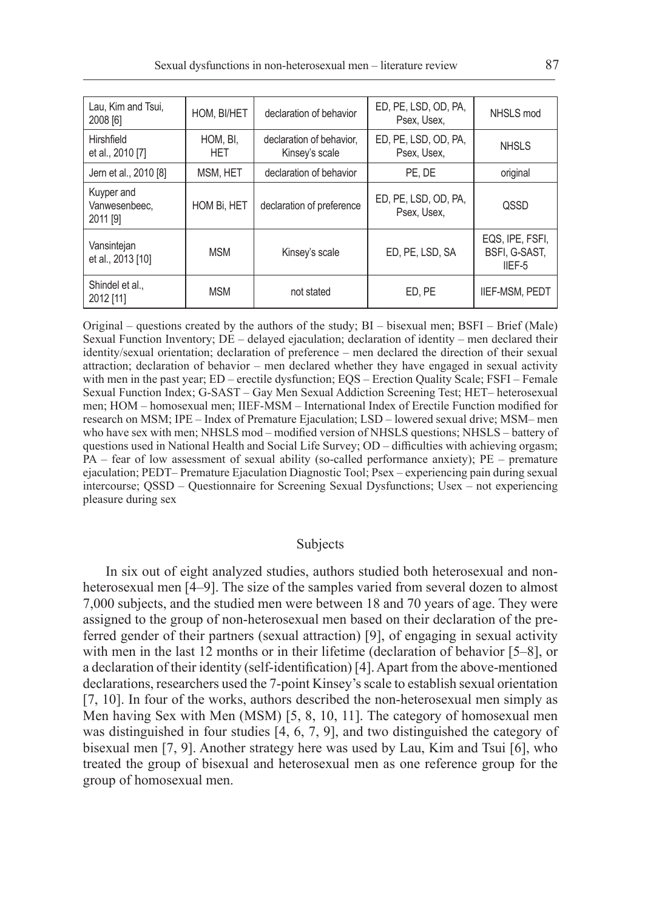| Lau, Kim and Tsui,<br>2008 [6]          | HOM, BI/HET     | declaration of behavior                    | ED, PE, LSD, OD, PA,<br>Psex, Usex, | NHSLS mod                                  |
|-----------------------------------------|-----------------|--------------------------------------------|-------------------------------------|--------------------------------------------|
| Hirshfield<br>et al., 2010 [7]          | HOM, BI,<br>HET | declaration of behavior,<br>Kinsey's scale | ED, PE, LSD, OD, PA,<br>Psex, Usex, | <b>NHSLS</b>                               |
| Jern et al., 2010 [8]                   | MSM, HET        | declaration of behavior                    | PE. DE                              | original                                   |
| Kuyper and<br>Vanwesenbeec.<br>2011 [9] | HOM Bi, HET     | declaration of preference                  | ED, PE, LSD, OD, PA,<br>Psex, Usex, | <b>OSSD</b>                                |
| Vansintejan<br>et al., 2013 [10]        | <b>MSM</b>      | Kinsey's scale                             | ED, PE, LSD, SA                     | EQS, IPE, FSFI,<br>BSFI, G-SAST,<br>IIEF-5 |
| Shindel et al<br>2012 [11]              | <b>MSM</b>      | not stated                                 | ED. PE                              | <b>IIEF-MSM, PEDT</b>                      |

Original – questions created by the authors of the study; BI – bisexual men; BSFI – Brief (Male) Sexual Function Inventory; DE – delayed ejaculation; declaration of identity – men declared their identity/sexual orientation; declaration of preference – men declared the direction of their sexual attraction; declaration of behavior – men declared whether they have engaged in sexual activity with men in the past year; ED – erectile dysfunction; EQS – Erection Quality Scale; FSFI – Female Sexual Function Index; G-SAST – Gay Men Sexual Addiction Screening Test; HET– heterosexual men; HOM – homosexual men; IIEF-MSM – International Index of Erectile Function modified for research on MSM; IPE – Index of Premature Ejaculation; LSD – lowered sexual drive; MSM– men who have sex with men; NHSLS mod – modified version of NHSLS questions; NHSLS – battery of questions used in National Health and Social Life Survey; OD – difficulties with achieving orgasm; PA – fear of low assessment of sexual ability (so-called performance anxiety); PE – premature ejaculation; PEDT– Premature Ejaculation Diagnostic Tool; Psex – experiencing pain during sexual intercourse; QSSD – Questionnaire for Screening Sexual Dysfunctions; Usex – not experiencing pleasure during sex

# Subjects

In six out of eight analyzed studies, authors studied both heterosexual and nonheterosexual men [4–9]. The size of the samples varied from several dozen to almost 7,000 subjects, and the studied men were between 18 and 70 years of age. They were assigned to the group of non-heterosexual men based on their declaration of the preferred gender of their partners (sexual attraction) [9], of engaging in sexual activity with men in the last 12 months or in their lifetime (declaration of behavior [5–8], or a declaration of their identity (self-identification) [4]. Apart from the above-mentioned declarations, researchers used the 7-point Kinsey's scale to establish sexual orientation [7, 10]. In four of the works, authors described the non-heterosexual men simply as Men having Sex with Men (MSM) [5, 8, 10, 11]. The category of homosexual men was distinguished in four studies [4, 6, 7, 9], and two distinguished the category of bisexual men [7, 9]. Another strategy here was used by Lau, Kim and Tsui [6], who treated the group of bisexual and heterosexual men as one reference group for the group of homosexual men.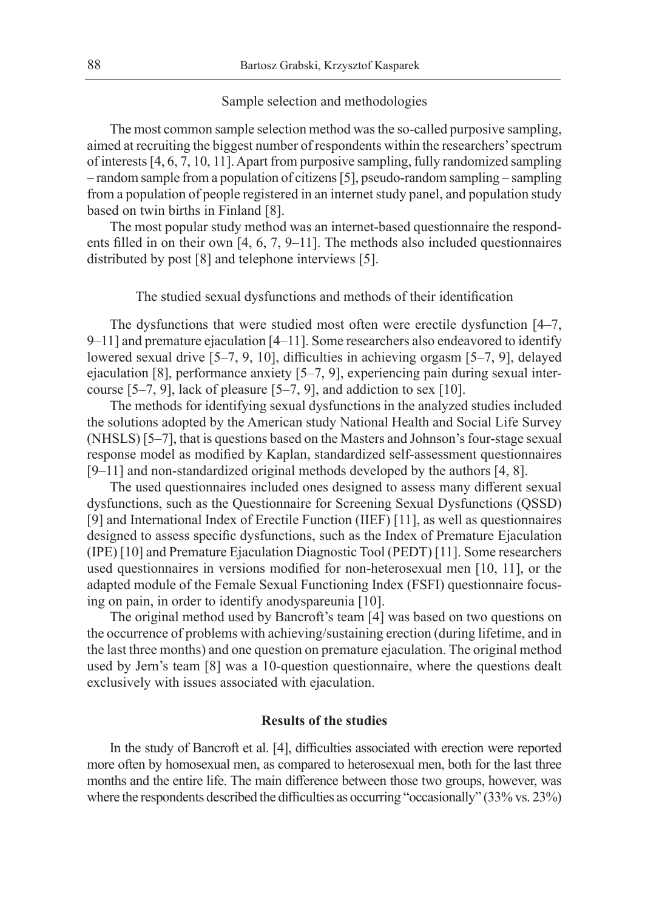## Sample selection and methodologies

The most common sample selection method was the so-called purposive sampling, aimed at recruiting the biggest number of respondents within the researchers' spectrum of interests [4, 6, 7, 10, 11]. Apart from purposive sampling, fully randomized sampling – random sample from a population of citizens [5], pseudo-random sampling – sampling from a population of people registered in an internet study panel, and population study based on twin births in Finland [8].

The most popular study method was an internet-based questionnaire the respondents filled in on their own [4, 6, 7, 9–11]. The methods also included questionnaires distributed by post [8] and telephone interviews [5].

The studied sexual dysfunctions and methods of their identification

The dysfunctions that were studied most often were erectile dysfunction [4–7, 9–11] and premature ejaculation [4–11]. Some researchers also endeavored to identify lowered sexual drive [5–7, 9, 10], difficulties in achieving orgasm [5–7, 9], delayed ejaculation [8], performance anxiety [5–7, 9], experiencing pain during sexual intercourse  $[5-7, 9]$ , lack of pleasure  $[5-7, 9]$ , and addiction to sex  $[10]$ .

The methods for identifying sexual dysfunctions in the analyzed studies included the solutions adopted by the American study National Health and Social Life Survey (NHSLS) [5–7], that is questions based on the Masters and Johnson's four-stage sexual response model as modified by Kaplan, standardized self-assessment questionnaires [9–11] and non-standardized original methods developed by the authors [4, 8].

The used questionnaires included ones designed to assess many different sexual dysfunctions, such as the Questionnaire for Screening Sexual Dysfunctions (QSSD) [9] and International Index of Erectile Function (IIEF) [11], as well as questionnaires designed to assess specific dysfunctions, such as the Index of Premature Ejaculation (IPE) [10] and Premature Ejaculation Diagnostic Tool (PEDT) [11]. Some researchers used questionnaires in versions modified for non-heterosexual men [10, 11], or the adapted module of the Female Sexual Functioning Index (FSFI) questionnaire focusing on pain, in order to identify anodyspareunia [10].

The original method used by Bancroft's team [4] was based on two questions on the occurrence of problems with achieving/sustaining erection (during lifetime, and in the last three months) and one question on premature ejaculation. The original method used by Jern's team [8] was a 10-question questionnaire, where the questions dealt exclusively with issues associated with ejaculation.

# **Results of the studies**

In the study of Bancroft et al. [4], difficulties associated with erection were reported more often by homosexual men, as compared to heterosexual men, both for the last three months and the entire life. The main difference between those two groups, however, was where the respondents described the difficulties as occurring "occasionally" (33% vs. 23%)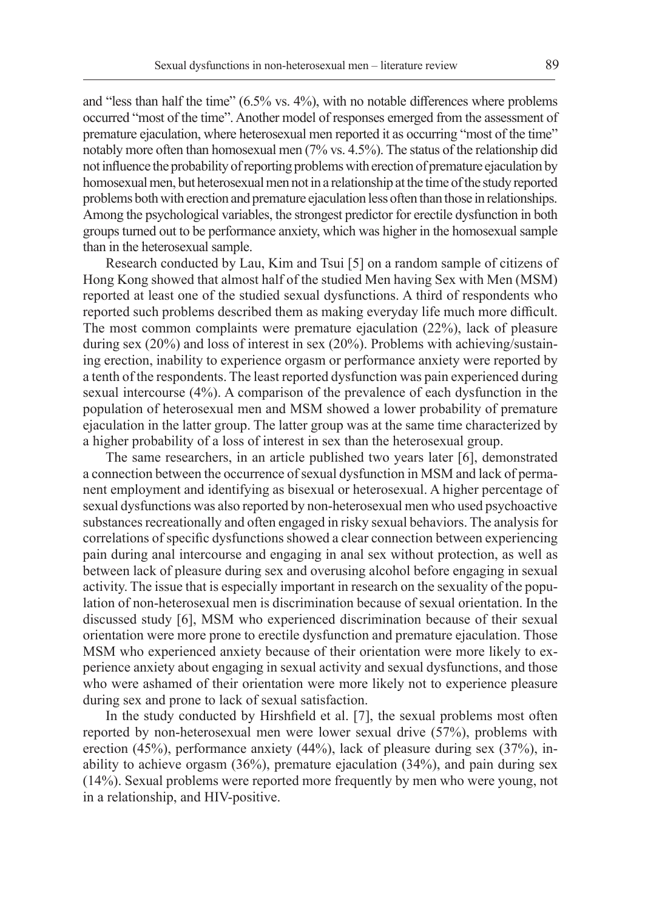and "less than half the time" (6.5% vs. 4%), with no notable differences where problems occurred "most of the time". Another model of responses emerged from the assessment of premature ejaculation, where heterosexual men reported it as occurring "most of the time" notably more often than homosexual men (7% vs. 4.5%). The status of the relationship did not influence the probability of reporting problems with erection of premature ejaculation by homosexual men, but heterosexual men not in a relationship at the time of the study reported problems both with erection and premature ejaculation less often than those in relationships. Among the psychological variables, the strongest predictor for erectile dysfunction in both groups turned out to be performance anxiety, which was higher in the homosexual sample than in the heterosexual sample.

Research conducted by Lau, Kim and Tsui [5] on a random sample of citizens of Hong Kong showed that almost half of the studied Men having Sex with Men (MSM) reported at least one of the studied sexual dysfunctions. A third of respondents who reported such problems described them as making everyday life much more difficult. The most common complaints were premature ejaculation (22%), lack of pleasure during sex (20%) and loss of interest in sex (20%). Problems with achieving/sustaining erection, inability to experience orgasm or performance anxiety were reported by a tenth of the respondents. The least reported dysfunction was pain experienced during sexual intercourse (4%). A comparison of the prevalence of each dysfunction in the population of heterosexual men and MSM showed a lower probability of premature ejaculation in the latter group. The latter group was at the same time characterized by a higher probability of a loss of interest in sex than the heterosexual group.

The same researchers, in an article published two years later [6], demonstrated a connection between the occurrence of sexual dysfunction in MSM and lack of permanent employment and identifying as bisexual or heterosexual. A higher percentage of sexual dysfunctions was also reported by non-heterosexual men who used psychoactive substances recreationally and often engaged in risky sexual behaviors. The analysis for correlations of specific dysfunctions showed a clear connection between experiencing pain during anal intercourse and engaging in anal sex without protection, as well as between lack of pleasure during sex and overusing alcohol before engaging in sexual activity. The issue that is especially important in research on the sexuality of the population of non-heterosexual men is discrimination because of sexual orientation. In the discussed study [6], MSM who experienced discrimination because of their sexual orientation were more prone to erectile dysfunction and premature ejaculation. Those MSM who experienced anxiety because of their orientation were more likely to experience anxiety about engaging in sexual activity and sexual dysfunctions, and those who were ashamed of their orientation were more likely not to experience pleasure during sex and prone to lack of sexual satisfaction.

In the study conducted by Hirshfield et al. [7], the sexual problems most often reported by non-heterosexual men were lower sexual drive (57%), problems with erection (45%), performance anxiety (44%), lack of pleasure during sex (37%), inability to achieve orgasm (36%), premature ejaculation (34%), and pain during sex (14%). Sexual problems were reported more frequently by men who were young, not in a relationship, and HIV-positive.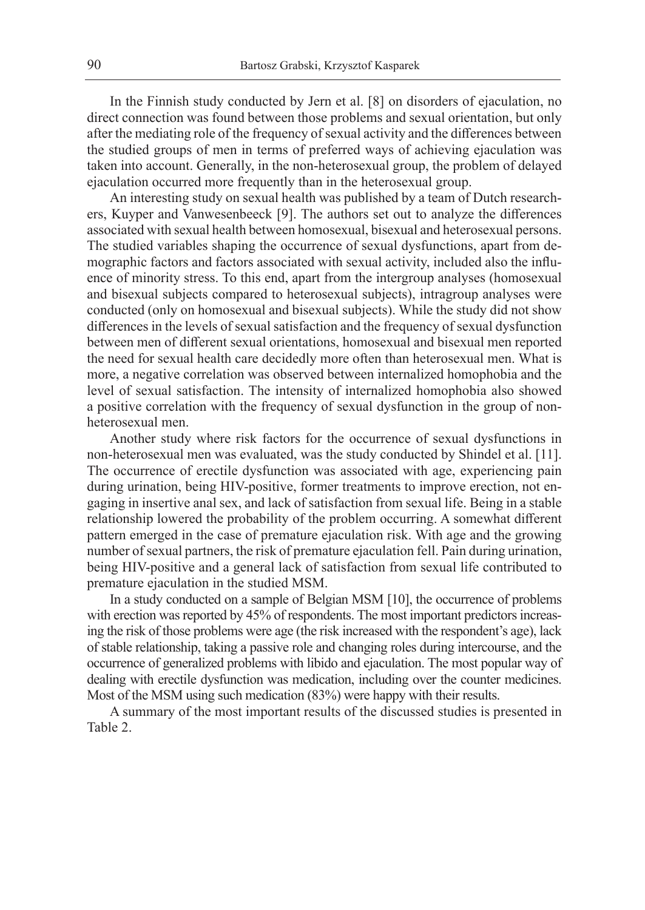In the Finnish study conducted by Jern et al. [8] on disorders of ejaculation, no direct connection was found between those problems and sexual orientation, but only after the mediating role of the frequency of sexual activity and the differences between the studied groups of men in terms of preferred ways of achieving ejaculation was taken into account. Generally, in the non-heterosexual group, the problem of delayed ejaculation occurred more frequently than in the heterosexual group.

An interesting study on sexual health was published by a team of Dutch researchers, Kuyper and Vanwesenbeeck [9]. The authors set out to analyze the differences associated with sexual health between homosexual, bisexual and heterosexual persons. The studied variables shaping the occurrence of sexual dysfunctions, apart from demographic factors and factors associated with sexual activity, included also the influence of minority stress. To this end, apart from the intergroup analyses (homosexual and bisexual subjects compared to heterosexual subjects), intragroup analyses were conducted (only on homosexual and bisexual subjects). While the study did not show differences in the levels of sexual satisfaction and the frequency of sexual dysfunction between men of different sexual orientations, homosexual and bisexual men reported the need for sexual health care decidedly more often than heterosexual men. What is more, a negative correlation was observed between internalized homophobia and the level of sexual satisfaction. The intensity of internalized homophobia also showed a positive correlation with the frequency of sexual dysfunction in the group of nonheterosexual men.

Another study where risk factors for the occurrence of sexual dysfunctions in non-heterosexual men was evaluated, was the study conducted by Shindel et al. [11]. The occurrence of erectile dysfunction was associated with age, experiencing pain during urination, being HIV-positive, former treatments to improve erection, not engaging in insertive anal sex, and lack of satisfaction from sexual life. Being in a stable relationship lowered the probability of the problem occurring. A somewhat different pattern emerged in the case of premature ejaculation risk. With age and the growing number of sexual partners, the risk of premature ejaculation fell. Pain during urination, being HIV-positive and a general lack of satisfaction from sexual life contributed to premature ejaculation in the studied MSM.

In a study conducted on a sample of Belgian MSM [10], the occurrence of problems with erection was reported by 45% of respondents. The most important predictors increasing the risk of those problems were age (the risk increased with the respondent's age), lack of stable relationship, taking a passive role and changing roles during intercourse, and the occurrence of generalized problems with libido and ejaculation. The most popular way of dealing with erectile dysfunction was medication, including over the counter medicines. Most of the MSM using such medication (83%) were happy with their results.

A summary of the most important results of the discussed studies is presented in Table 2.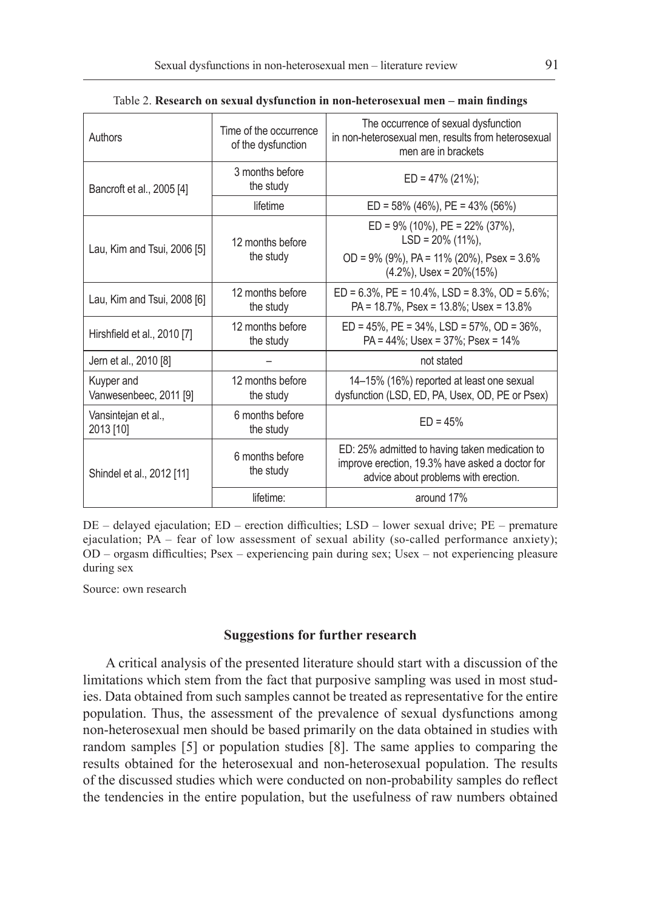| Authors                              | Time of the occurrence<br>of the dysfunction | The occurrence of sexual dysfunction<br>in non-heterosexual men, results from heterosexual<br>men are in brackets                         |  |
|--------------------------------------|----------------------------------------------|-------------------------------------------------------------------------------------------------------------------------------------------|--|
| Bancroft et al., 2005 [4]            | 3 months before<br>the study                 | $ED = 47\% (21\%);$                                                                                                                       |  |
|                                      | lifetime                                     | $ED = 58\%$ (46%), PE = 43% (56%)                                                                                                         |  |
| Lau, Kim and Tsui, 2006 [5]          | 12 months before                             | $ED = 9\%$ (10%), $PE = 22\%$ (37%),<br>$LSD = 20\% (11\%).$                                                                              |  |
|                                      | the study                                    | OD = $9\%$ ( $9\%$ ), PA = $11\%$ ( $20\%$ ), Psex = $3.6\%$<br>$(4.2\%)$ , Usex = 20%(15%)                                               |  |
| Lau, Kim and Tsui, 2008 [6]          | 12 months before<br>the study                | $ED = 6.3\%$ , $PE = 10.4\%$ , $LSD = 8.3\%$ , $OD = 5.6\%$ ;<br>$PA = 18.7\%$ , $Psex = 13.8\%$ ; Usex = 13.8%                           |  |
| Hirshfield et al., 2010 [7]          | 12 months before<br>the study                | $ED = 45\%$ , $PE = 34\%$ , $LSD = 57\%$ , $OD = 36\%$ ,<br>PA = 44%; Usex = 37%; Psex = 14%                                              |  |
| Jern et al., 2010 [8]                |                                              | not stated                                                                                                                                |  |
| Kuyper and<br>Vanwesenbeec, 2011 [9] | 12 months before<br>the study                | 14–15% (16%) reported at least one sexual<br>dysfunction (LSD, ED, PA, Usex, OD, PE or Psex)                                              |  |
| Vansintejan et al.,<br>2013 [10]     | 6 months before<br>the study                 | $ED = 45%$                                                                                                                                |  |
| Shindel et al., 2012 [11]            | 6 months before<br>the study                 | ED: 25% admitted to having taken medication to<br>improve erection, 19.3% have asked a doctor for<br>advice about problems with erection. |  |
|                                      | lifetime:                                    | around 17%                                                                                                                                |  |

Table 2. **Research on sexual dysfunction in non-heterosexual men – main findings**

DE – delayed ejaculation; ED – erection difficulties; LSD – lower sexual drive; PE – premature ejaculation; PA – fear of low assessment of sexual ability (so-called performance anxiety); OD – orgasm difficulties; Psex – experiencing pain during sex; Usex – not experiencing pleasure during sex

Source: own research

### **Suggestions for further research**

A critical analysis of the presented literature should start with a discussion of the limitations which stem from the fact that purposive sampling was used in most studies. Data obtained from such samples cannot be treated as representative for the entire population. Thus, the assessment of the prevalence of sexual dysfunctions among non-heterosexual men should be based primarily on the data obtained in studies with random samples [5] or population studies [8]. The same applies to comparing the results obtained for the heterosexual and non-heterosexual population. The results of the discussed studies which were conducted on non-probability samples do reflect the tendencies in the entire population, but the usefulness of raw numbers obtained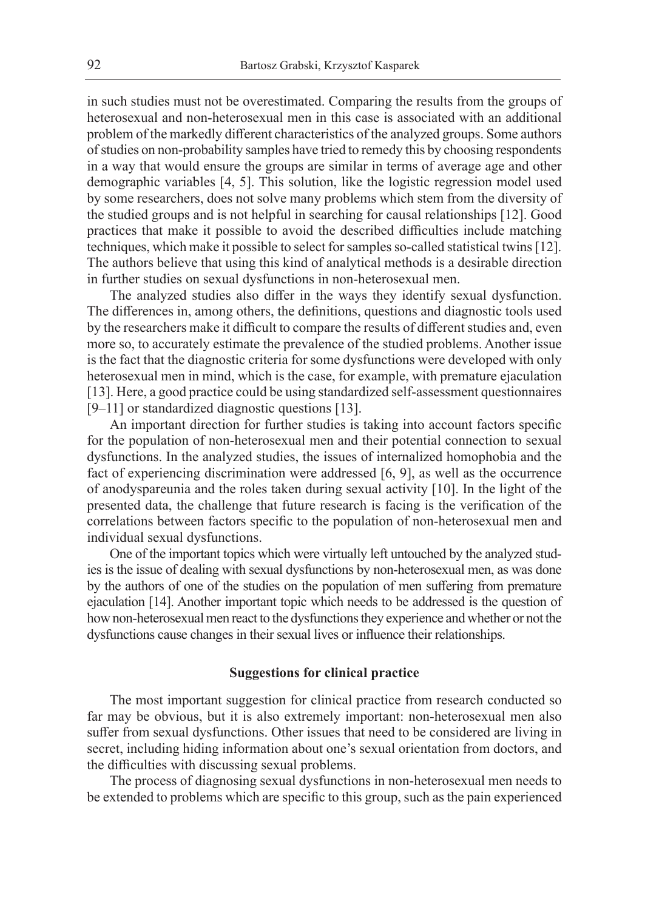in such studies must not be overestimated. Comparing the results from the groups of heterosexual and non-heterosexual men in this case is associated with an additional problem of the markedly different characteristics of the analyzed groups. Some authors of studies on non-probability samples have tried to remedy this by choosing respondents in a way that would ensure the groups are similar in terms of average age and other demographic variables [4, 5]. This solution, like the logistic regression model used by some researchers, does not solve many problems which stem from the diversity of the studied groups and is not helpful in searching for causal relationships [12]. Good practices that make it possible to avoid the described difficulties include matching techniques, which make it possible to select for samples so-called statistical twins [12]. The authors believe that using this kind of analytical methods is a desirable direction in further studies on sexual dysfunctions in non-heterosexual men.

The analyzed studies also differ in the ways they identify sexual dysfunction. The differences in, among others, the definitions, questions and diagnostic tools used by the researchers make it difficult to compare the results of different studies and, even more so, to accurately estimate the prevalence of the studied problems. Another issue is the fact that the diagnostic criteria for some dysfunctions were developed with only heterosexual men in mind, which is the case, for example, with premature ejaculation [13]. Here, a good practice could be using standardized self-assessment questionnaires [9–11] or standardized diagnostic questions [13].

An important direction for further studies is taking into account factors specific for the population of non-heterosexual men and their potential connection to sexual dysfunctions. In the analyzed studies, the issues of internalized homophobia and the fact of experiencing discrimination were addressed [6, 9], as well as the occurrence of anodyspareunia and the roles taken during sexual activity [10]. In the light of the presented data, the challenge that future research is facing is the verification of the correlations between factors specific to the population of non-heterosexual men and individual sexual dysfunctions.

One of the important topics which were virtually left untouched by the analyzed studies is the issue of dealing with sexual dysfunctions by non-heterosexual men, as was done by the authors of one of the studies on the population of men suffering from premature ejaculation [14]. Another important topic which needs to be addressed is the question of how non-heterosexual men react to the dysfunctions they experience and whether or not the dysfunctions cause changes in their sexual lives or influence their relationships.

### **Suggestions for clinical practice**

The most important suggestion for clinical practice from research conducted so far may be obvious, but it is also extremely important: non-heterosexual men also suffer from sexual dysfunctions. Other issues that need to be considered are living in secret, including hiding information about one's sexual orientation from doctors, and the difficulties with discussing sexual problems.

The process of diagnosing sexual dysfunctions in non-heterosexual men needs to be extended to problems which are specific to this group, such as the pain experienced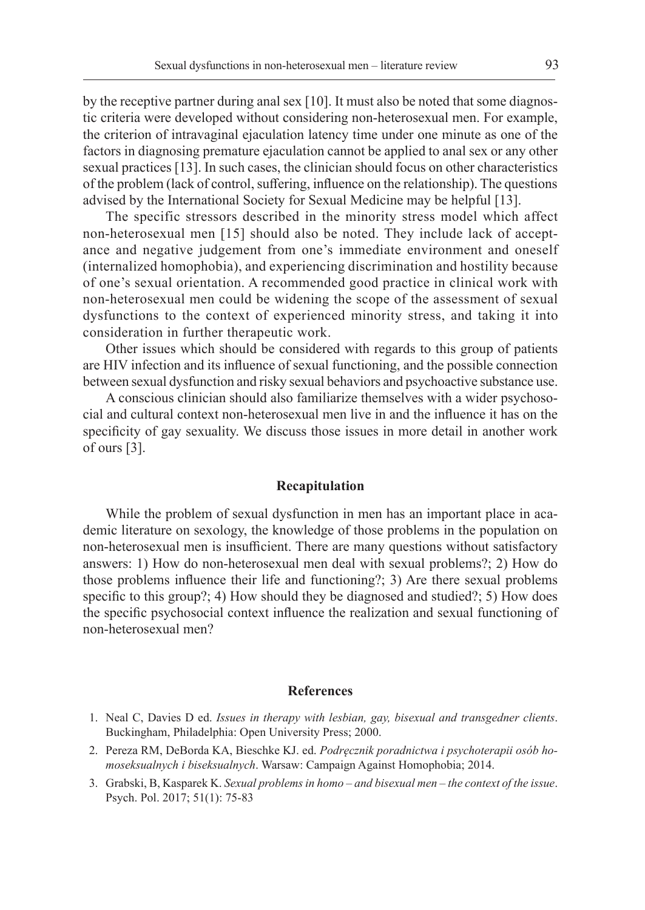by the receptive partner during anal sex [10]. It must also be noted that some diagnostic criteria were developed without considering non-heterosexual men. For example, the criterion of intravaginal ejaculation latency time under one minute as one of the factors in diagnosing premature ejaculation cannot be applied to anal sex or any other sexual practices [13]. In such cases, the clinician should focus on other characteristics of the problem (lack of control, suffering, influence on the relationship). The questions advised by the International Society for Sexual Medicine may be helpful [13].

The specific stressors described in the minority stress model which affect non-heterosexual men [15] should also be noted. They include lack of acceptance and negative judgement from one's immediate environment and oneself (internalized homophobia), and experiencing discrimination and hostility because of one's sexual orientation. A recommended good practice in clinical work with non-heterosexual men could be widening the scope of the assessment of sexual dysfunctions to the context of experienced minority stress, and taking it into consideration in further therapeutic work.

Other issues which should be considered with regards to this group of patients are HIV infection and its influence of sexual functioning, and the possible connection between sexual dysfunction and risky sexual behaviors and psychoactive substance use.

A conscious clinician should also familiarize themselves with a wider psychosocial and cultural context non-heterosexual men live in and the influence it has on the specificity of gay sexuality. We discuss those issues in more detail in another work of ours [3].

### **Recapitulation**

While the problem of sexual dysfunction in men has an important place in academic literature on sexology, the knowledge of those problems in the population on non-heterosexual men is insufficient. There are many questions without satisfactory answers: 1) How do non-heterosexual men deal with sexual problems?; 2) How do those problems influence their life and functioning?; 3) Are there sexual problems specific to this group?; 4) How should they be diagnosed and studied?; 5) How does the specific psychosocial context influence the realization and sexual functioning of non-heterosexual men?

### **References**

- 1. Neal C, Davies D ed. *Issues in therapy with lesbian, gay, bisexual and transgedner clients*. Buckingham, Philadelphia: Open University Press; 2000.
- 2. Pereza RM, DeBorda KA, Bieschke KJ. ed. *Podręcznik poradnictwa i psychoterapii osób homoseksualnych i biseksualnych*. Warsaw: Campaign Against Homophobia; 2014.
- 3. Grabski, B, Kasparek K. *Sexual problems in homo and bisexual men the context of the issue*. Psych. Pol. 2017; 51(1): 75-83